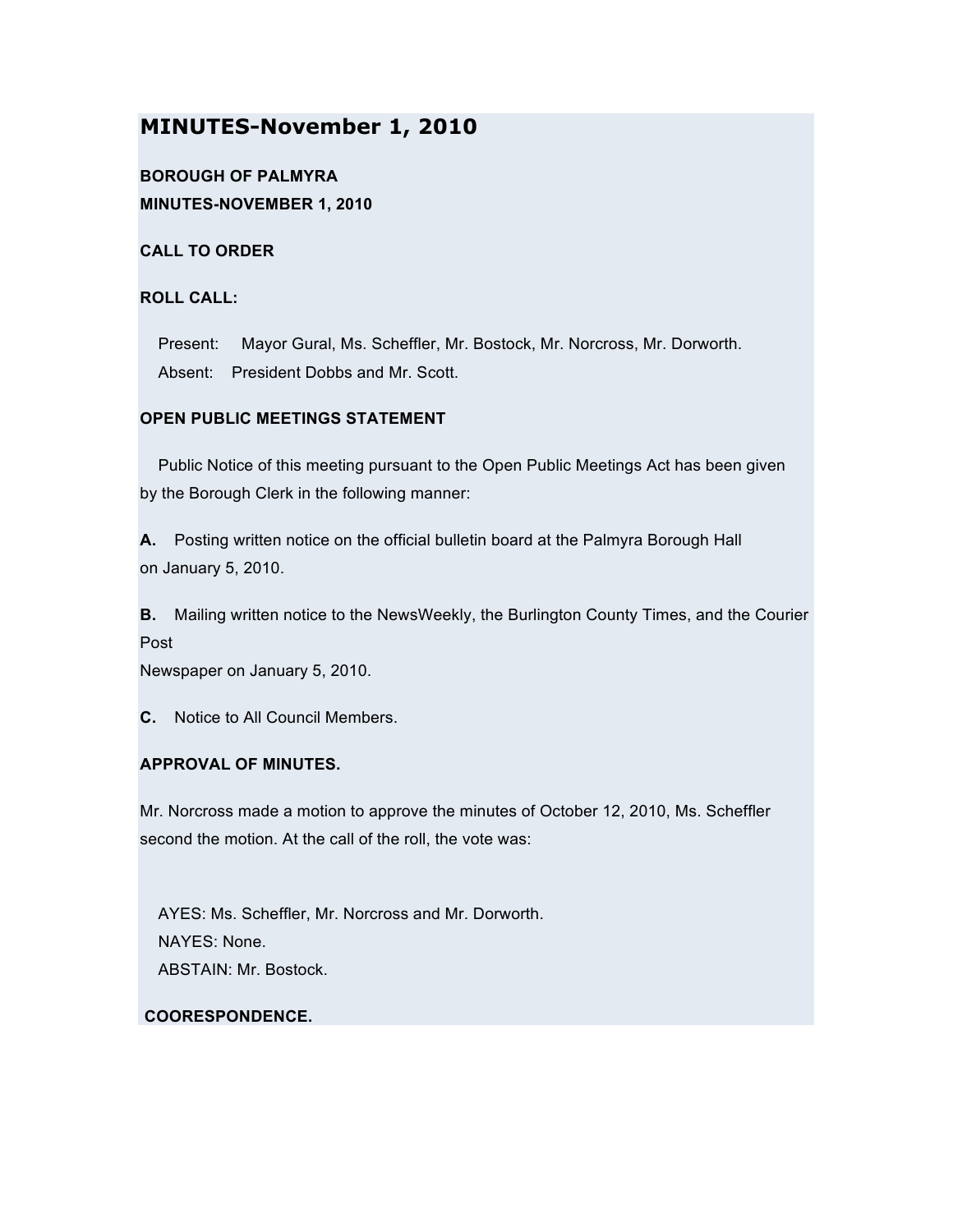# **MINUTES-November 1, 2010**

## **BOROUGH OF PALMYRA MINUTES-NOVEMBER 1, 2010**

### **CALL TO ORDER**

## **ROLL CALL:**

Present: Mayor Gural, Ms. Scheffler, Mr. Bostock, Mr. Norcross, Mr. Dorworth. Absent: President Dobbs and Mr. Scott.

### **OPEN PUBLIC MEETINGS STATEMENT**

Public Notice of this meeting pursuant to the Open Public Meetings Act has been given by the Borough Clerk in the following manner:

**A.** Posting written notice on the official bulletin board at the Palmyra Borough Hall on January 5, 2010.

**B.** Mailing written notice to the NewsWeekly, the Burlington County Times, and the Courier Post

Newspaper on January 5, 2010.

**C.** Notice to All Council Members.

### **APPROVAL OF MINUTES.**

Mr. Norcross made a motion to approve the minutes of October 12, 2010, Ms. Scheffler second the motion. At the call of the roll, the vote was:

AYES: Ms. Scheffler, Mr. Norcross and Mr. Dorworth. NAYES: None. ABSTAIN: Mr. Bostock.

### **COORESPONDENCE.**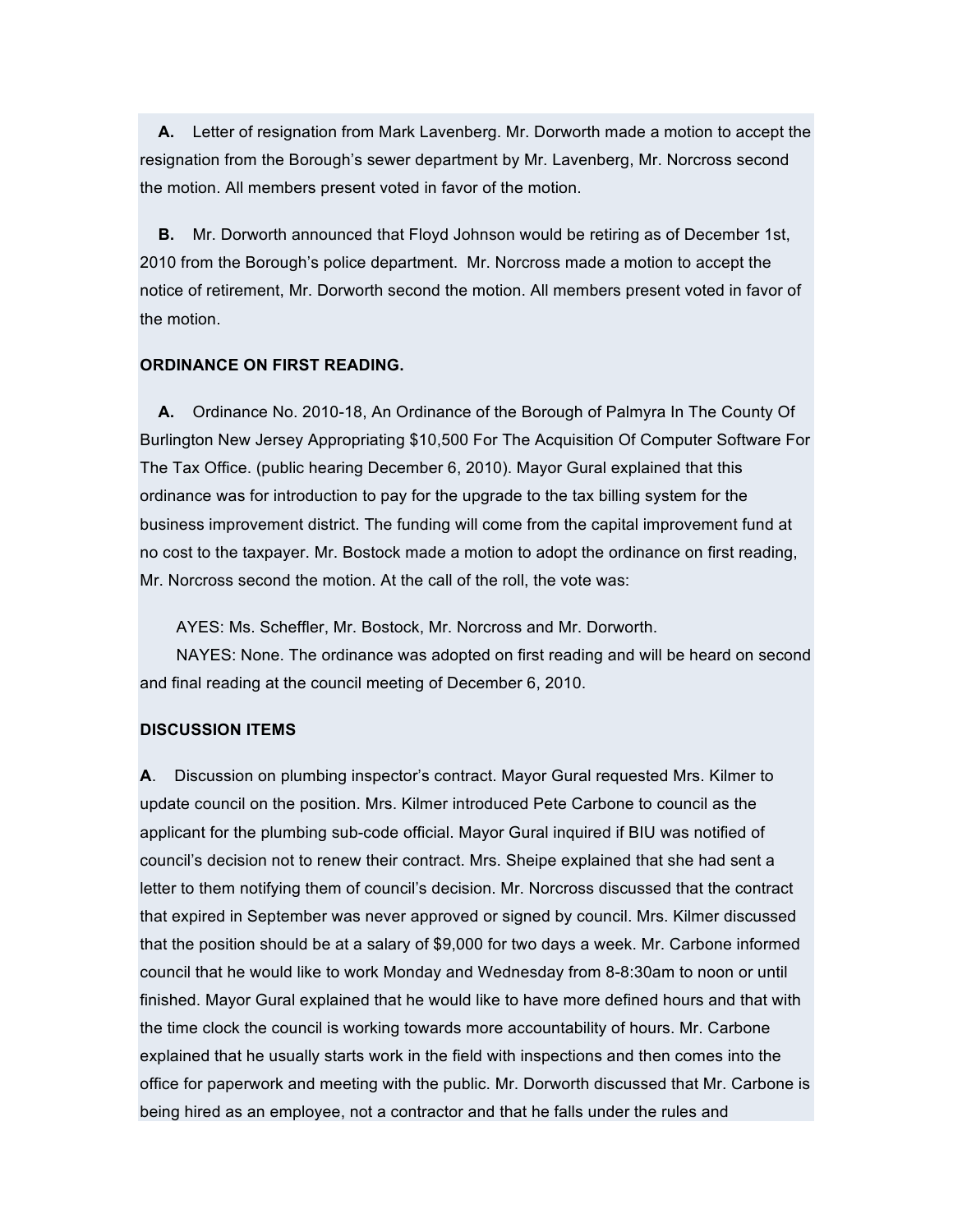**A.** Letter of resignation from Mark Lavenberg. Mr. Dorworth made a motion to accept the resignation from the Borough's sewer department by Mr. Lavenberg, Mr. Norcross second the motion. All members present voted in favor of the motion.

**B.** Mr. Dorworth announced that Floyd Johnson would be retiring as of December 1st, 2010 from the Borough's police department. Mr. Norcross made a motion to accept the notice of retirement, Mr. Dorworth second the motion. All members present voted in favor of the motion.

#### **ORDINANCE ON FIRST READING.**

**A.** Ordinance No. 2010-18, An Ordinance of the Borough of Palmyra In The County Of Burlington New Jersey Appropriating \$10,500 For The Acquisition Of Computer Software For The Tax Office. (public hearing December 6, 2010). Mayor Gural explained that this ordinance was for introduction to pay for the upgrade to the tax billing system for the business improvement district. The funding will come from the capital improvement fund at no cost to the taxpayer. Mr. Bostock made a motion to adopt the ordinance on first reading, Mr. Norcross second the motion. At the call of the roll, the vote was:

AYES: Ms. Scheffler, Mr. Bostock, Mr. Norcross and Mr. Dorworth.

NAYES: None. The ordinance was adopted on first reading and will be heard on second and final reading at the council meeting of December 6, 2010.

#### **DISCUSSION ITEMS**

**A**. Discussion on plumbing inspector's contract. Mayor Gural requested Mrs. Kilmer to update council on the position. Mrs. Kilmer introduced Pete Carbone to council as the applicant for the plumbing sub-code official. Mayor Gural inquired if BIU was notified of council's decision not to renew their contract. Mrs. Sheipe explained that she had sent a letter to them notifying them of council's decision. Mr. Norcross discussed that the contract that expired in September was never approved or signed by council. Mrs. Kilmer discussed that the position should be at a salary of \$9,000 for two days a week. Mr. Carbone informed council that he would like to work Monday and Wednesday from 8-8:30am to noon or until finished. Mayor Gural explained that he would like to have more defined hours and that with the time clock the council is working towards more accountability of hours. Mr. Carbone explained that he usually starts work in the field with inspections and then comes into the office for paperwork and meeting with the public. Mr. Dorworth discussed that Mr. Carbone is being hired as an employee, not a contractor and that he falls under the rules and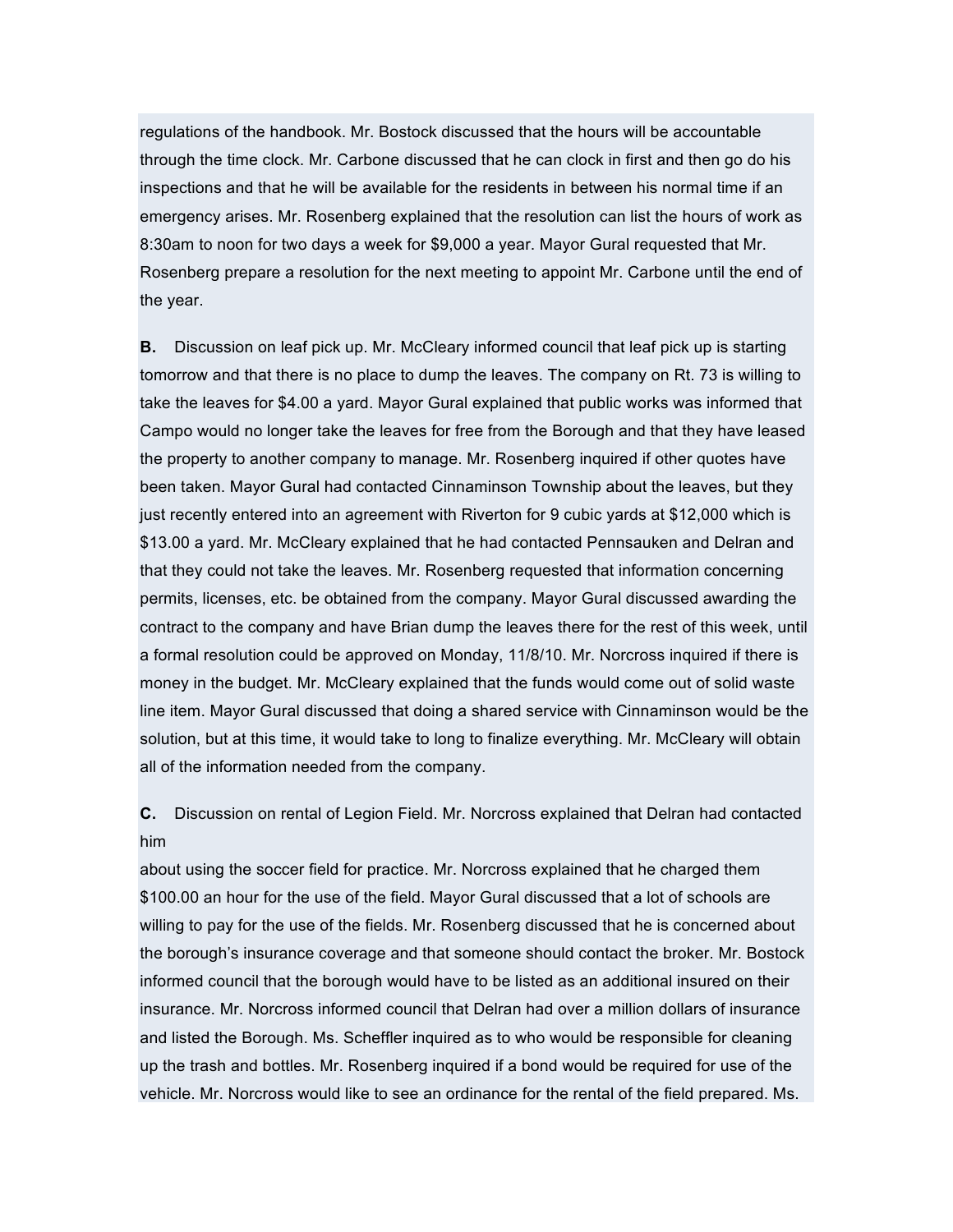regulations of the handbook. Mr. Bostock discussed that the hours will be accountable through the time clock. Mr. Carbone discussed that he can clock in first and then go do his inspections and that he will be available for the residents in between his normal time if an emergency arises. Mr. Rosenberg explained that the resolution can list the hours of work as 8:30am to noon for two days a week for \$9,000 a year. Mayor Gural requested that Mr. Rosenberg prepare a resolution for the next meeting to appoint Mr. Carbone until the end of the year.

**B.** Discussion on leaf pick up. Mr. McCleary informed council that leaf pick up is starting tomorrow and that there is no place to dump the leaves. The company on Rt. 73 is willing to take the leaves for \$4.00 a yard. Mayor Gural explained that public works was informed that Campo would no longer take the leaves for free from the Borough and that they have leased the property to another company to manage. Mr. Rosenberg inquired if other quotes have been taken. Mayor Gural had contacted Cinnaminson Township about the leaves, but they just recently entered into an agreement with Riverton for 9 cubic yards at \$12,000 which is \$13.00 a yard. Mr. McCleary explained that he had contacted Pennsauken and Delran and that they could not take the leaves. Mr. Rosenberg requested that information concerning permits, licenses, etc. be obtained from the company. Mayor Gural discussed awarding the contract to the company and have Brian dump the leaves there for the rest of this week, until a formal resolution could be approved on Monday, 11/8/10. Mr. Norcross inquired if there is money in the budget. Mr. McCleary explained that the funds would come out of solid waste line item. Mayor Gural discussed that doing a shared service with Cinnaminson would be the solution, but at this time, it would take to long to finalize everything. Mr. McCleary will obtain all of the information needed from the company.

**C.** Discussion on rental of Legion Field. Mr. Norcross explained that Delran had contacted him

about using the soccer field for practice. Mr. Norcross explained that he charged them \$100.00 an hour for the use of the field. Mayor Gural discussed that a lot of schools are willing to pay for the use of the fields. Mr. Rosenberg discussed that he is concerned about the borough's insurance coverage and that someone should contact the broker. Mr. Bostock informed council that the borough would have to be listed as an additional insured on their insurance. Mr. Norcross informed council that Delran had over a million dollars of insurance and listed the Borough. Ms. Scheffler inquired as to who would be responsible for cleaning up the trash and bottles. Mr. Rosenberg inquired if a bond would be required for use of the vehicle. Mr. Norcross would like to see an ordinance for the rental of the field prepared. Ms.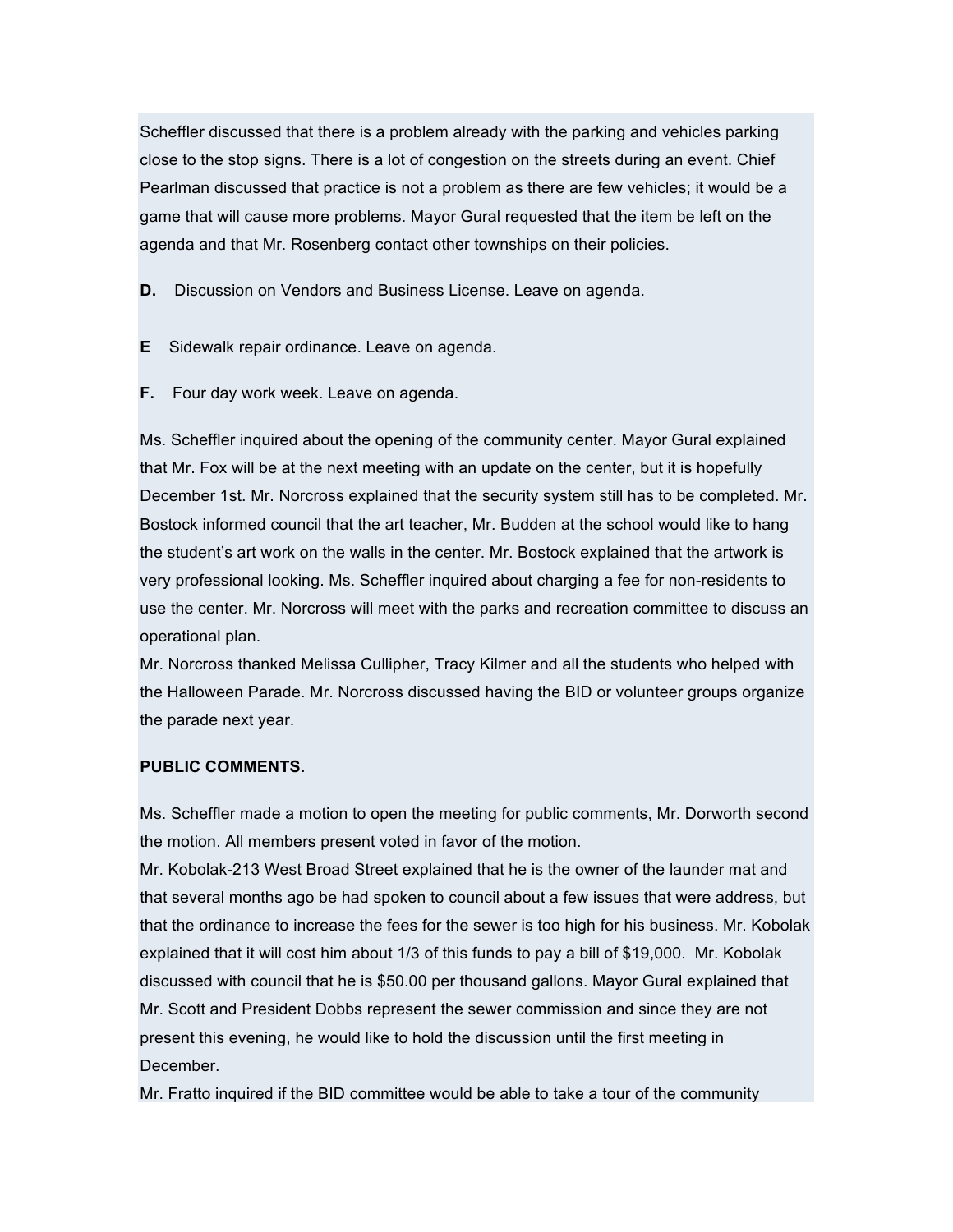Scheffler discussed that there is a problem already with the parking and vehicles parking close to the stop signs. There is a lot of congestion on the streets during an event. Chief Pearlman discussed that practice is not a problem as there are few vehicles; it would be a game that will cause more problems. Mayor Gural requested that the item be left on the agenda and that Mr. Rosenberg contact other townships on their policies.

**D.** Discussion on Vendors and Business License. Leave on agenda.

- **E** Sidewalk repair ordinance. Leave on agenda.
- **F.** Four day work week. Leave on agenda.

Ms. Scheffler inquired about the opening of the community center. Mayor Gural explained that Mr. Fox will be at the next meeting with an update on the center, but it is hopefully December 1st. Mr. Norcross explained that the security system still has to be completed. Mr. Bostock informed council that the art teacher, Mr. Budden at the school would like to hang the student's art work on the walls in the center. Mr. Bostock explained that the artwork is very professional looking. Ms. Scheffler inquired about charging a fee for non-residents to use the center. Mr. Norcross will meet with the parks and recreation committee to discuss an operational plan.

Mr. Norcross thanked Melissa Cullipher, Tracy Kilmer and all the students who helped with the Halloween Parade. Mr. Norcross discussed having the BID or volunteer groups organize the parade next year.

### **PUBLIC COMMENTS.**

Ms. Scheffler made a motion to open the meeting for public comments, Mr. Dorworth second the motion. All members present voted in favor of the motion.

Mr. Kobolak-213 West Broad Street explained that he is the owner of the launder mat and that several months ago be had spoken to council about a few issues that were address, but that the ordinance to increase the fees for the sewer is too high for his business. Mr. Kobolak explained that it will cost him about 1/3 of this funds to pay a bill of \$19,000. Mr. Kobolak discussed with council that he is \$50.00 per thousand gallons. Mayor Gural explained that Mr. Scott and President Dobbs represent the sewer commission and since they are not present this evening, he would like to hold the discussion until the first meeting in December.

Mr. Fratto inquired if the BID committee would be able to take a tour of the community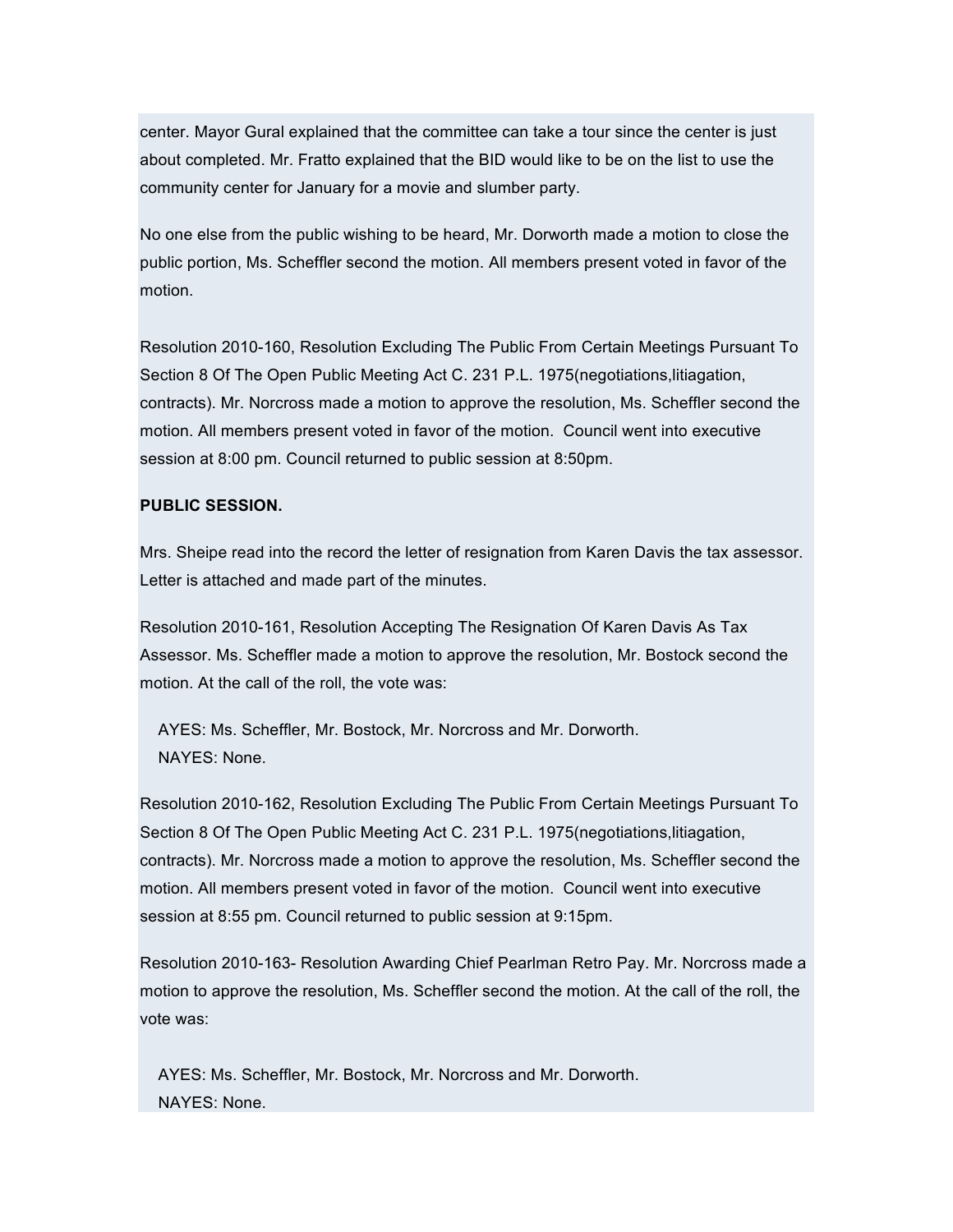center. Mayor Gural explained that the committee can take a tour since the center is just about completed. Mr. Fratto explained that the BID would like to be on the list to use the community center for January for a movie and slumber party.

No one else from the public wishing to be heard, Mr. Dorworth made a motion to close the public portion, Ms. Scheffler second the motion. All members present voted in favor of the motion.

Resolution 2010-160, Resolution Excluding The Public From Certain Meetings Pursuant To Section 8 Of The Open Public Meeting Act C. 231 P.L. 1975(negotiations,litiagation, contracts). Mr. Norcross made a motion to approve the resolution, Ms. Scheffler second the motion. All members present voted in favor of the motion. Council went into executive session at 8:00 pm. Council returned to public session at 8:50pm.

#### **PUBLIC SESSION.**

Mrs. Sheipe read into the record the letter of resignation from Karen Davis the tax assessor. Letter is attached and made part of the minutes.

Resolution 2010-161, Resolution Accepting The Resignation Of Karen Davis As Tax Assessor. Ms. Scheffler made a motion to approve the resolution, Mr. Bostock second the motion. At the call of the roll, the vote was:

AYES: Ms. Scheffler, Mr. Bostock, Mr. Norcross and Mr. Dorworth. NAYES: None.

Resolution 2010-162, Resolution Excluding The Public From Certain Meetings Pursuant To Section 8 Of The Open Public Meeting Act C. 231 P.L. 1975(negotiations,litiagation, contracts). Mr. Norcross made a motion to approve the resolution, Ms. Scheffler second the motion. All members present voted in favor of the motion. Council went into executive session at 8:55 pm. Council returned to public session at 9:15pm.

Resolution 2010-163- Resolution Awarding Chief Pearlman Retro Pay. Mr. Norcross made a motion to approve the resolution, Ms. Scheffler second the motion. At the call of the roll, the vote was:

AYES: Ms. Scheffler, Mr. Bostock, Mr. Norcross and Mr. Dorworth. NAYES: None.